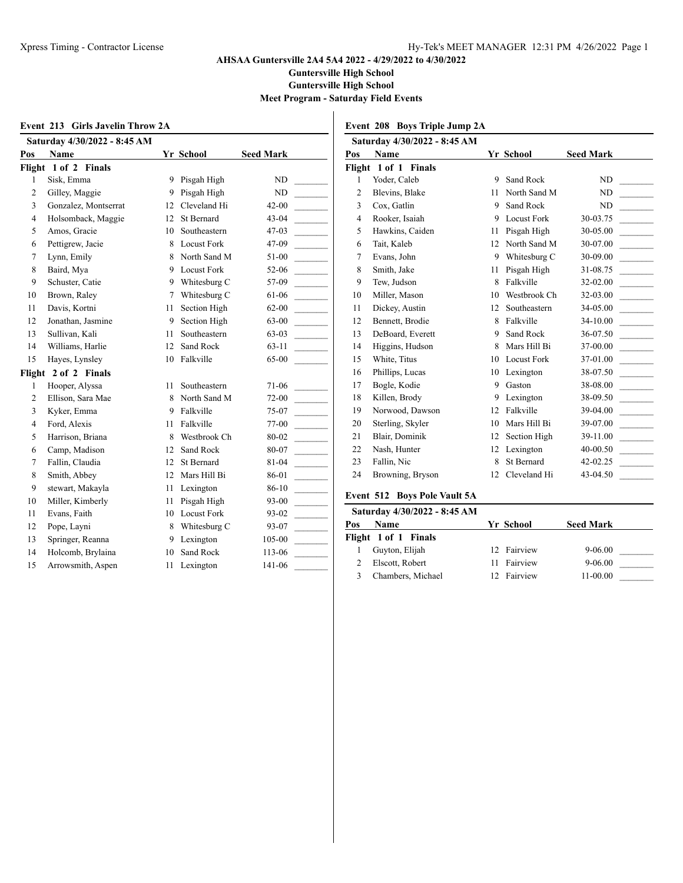**Guntersville High School**

 $\overline{\phantom{a}}$ 

**Guntersville High School**

**Meet Program - Saturday Field Events**

| Event 213 Girls Javelin Throw 2A |                              |    |                    |                  |  |
|----------------------------------|------------------------------|----|--------------------|------------------|--|
|                                  | Saturday 4/30/2022 - 8:45 AM |    |                    |                  |  |
| Pos                              | Name                         |    | Yr School          | <b>Seed Mark</b> |  |
|                                  | Flight 1 of 2 Finals         |    |                    |                  |  |
| 1                                | Sisk, Emma                   | 9  | Pisgah High        | ND               |  |
| $\overline{c}$                   | Gilley, Maggie               | 9. | Pisgah High        | ND               |  |
| 3                                | Gonzalez, Montserrat         | 12 | Cleveland Hi       | $42 - 00$        |  |
| 4                                | Holsomback, Maggie           | 12 | <b>St Bernard</b>  | 43-04            |  |
| 5                                | Amos, Gracie                 | 10 | Southeastern       | 47-03            |  |
| 6                                | Pettigrew, Jacie             |    | 8 Locust Fork      | 47-09            |  |
| 7                                | Lynn, Emily                  | 8  | North Sand M       | 51-00            |  |
| 8                                | Baird, Mya                   | 9  | <b>Locust Fork</b> | 52-06            |  |
| 9                                | Schuster, Catie              | 9  | Whitesburg C       | 57-09            |  |
| 10                               | Brown, Raley                 | 7  | Whitesburg C       | 61-06            |  |
| 11                               | Davis, Kortni                | 11 | Section High       | 62-00            |  |
| 12                               | Jonathan, Jasmine            | 9. | Section High       | 63-00            |  |
| 13                               | Sullivan, Kali               | 11 | Southeastern       | 63-03            |  |
| 14                               | Williams, Harlie             | 12 | Sand Rock          | $63-11$          |  |
| 15                               | Hayes, Lynsley               | 10 | Falkville          | $65-00$          |  |
| Flight                           | 2 of 2 Finals                |    |                    |                  |  |
| 1                                | Hooper, Alyssa               | 11 | Southeastern       | 71-06            |  |
| $\overline{c}$                   | Ellison, Sara Mae            | 8  | North Sand M       | 72-00            |  |
| 3                                | Kyker, Emma                  | 9  | Falkville          | 75-07            |  |
| 4                                | Ford, Alexis                 | 11 | Falkville          | 77-00            |  |
| 5                                | Harrison, Briana             | 8  | Westbrook Ch       | 80-02            |  |
| 6                                | Camp, Madison                | 12 | Sand Rock          | 80-07            |  |
| 7                                | Fallin, Claudia              | 12 | St Bernard         | 81-04            |  |
| 8                                | Smith, Abbey                 | 12 | Mars Hill Bi       | 86-01            |  |
| 9                                | stewart, Makayla             | 11 | Lexington          | 86-10            |  |
| 10                               | Miller, Kimberly             | 11 | Pisgah High        | 93-00            |  |
| 11                               | Evans, Faith                 | 10 | Locust Fork        | 93-02            |  |
| 12                               | Pope, Layni                  | 8  | Whitesburg C       | 93-07            |  |
| 13                               | Springer, Reanna             |    | 9 Lexington        | 105-00           |  |
| 14                               | Holcomb, Brylaina            | 10 | Sand Rock          | 113-06           |  |
| 15                               | Arrowsmith, Aspen            | 11 | Lexington          | 141-06           |  |

| Event 208 Boys Triple Jump 2A |  |  |  |  |  |
|-------------------------------|--|--|--|--|--|
|-------------------------------|--|--|--|--|--|

|                | Saturday 4/30/2022 - 8:45 AM |    |                    |                  |
|----------------|------------------------------|----|--------------------|------------------|
| Pos            | <b>Name</b>                  |    | Yr School          | <b>Seed Mark</b> |
|                | Flight 1 of 1 Finals         |    |                    |                  |
| 1              | Yoder, Caleb                 | 9  | Sand Rock          | ND               |
| 2              | Blevins, Blake               | 11 | North Sand M       | ND               |
| 3              | Cox, Gatlin                  | 9  | Sand Rock          | ND               |
| $\overline{4}$ | Rooker, Isaiah               | 9  | <b>Locust Fork</b> | 30-03.75         |
| 5              | Hawkins, Caiden              | 11 | Pisgah High        | 30-05.00         |
| 6              | Tait, Kaleb                  | 12 | North Sand M       | 30-07.00         |
| 7              | Evans, John                  | 9  | Whitesburg C       | 30-09.00         |
| 8              | Smith, Jake                  | 11 | Pisgah High        | 31-08.75         |
| 9              | Tew, Judson                  | 8  | Falkville          | 32-02.00         |
| 10             | Miller, Mason                | 10 | Westbrook Ch       | 32-03.00         |
| 11             | Dickey, Austin               | 12 | Southeastern       | 34-05.00         |
| 12             | Bennett, Brodie              | 8  | Falkville          | 34-10.00         |
| 13             | DeBoard, Everett             | 9  | Sand Rock          | 36-07.50         |
| 14             | Higgins, Hudson              | 8  | Mars Hill Bi       | 37-00.00         |
| 15             | White, Titus                 | 10 | <b>Locust Fork</b> | 37-01.00         |
| 16             | Phillips, Lucas              | 10 | Lexington          | 38-07.50         |
| 17             | Bogle, Kodie                 | 9  | Gaston             | 38-08.00         |
| 18             | Killen, Brody                | 9  | Lexington          | 38-09.50         |
| 19             | Norwood, Dawson              | 12 | Falkville          | 39-04.00         |
| 20             | Sterling, Skyler             | 10 | Mars Hill Bi       | 39-07.00         |
| 21             | Blair, Dominik               | 12 | Section High       | 39-11.00         |
| 22             | Nash, Hunter                 | 12 | Lexington          | 40-00.50         |
| 23             | Fallin, Nic                  | 8  | St Bernard         | 42-02.25         |
| 24             | Browning, Bryson             | 12 | Cleveland Hi       | 43-04.50         |
|                |                              |    |                    |                  |

# **Event 512 Boys Pole Vault 5A**

|     | Saturday 4/30/2022 - 8:45 AM |   |             |                  |  |
|-----|------------------------------|---|-------------|------------------|--|
| Pos | <b>Name</b>                  |   | Yr School   | <b>Seed Mark</b> |  |
|     | Flight 1 of 1 Finals         |   |             |                  |  |
|     | Guyton, Elijah               |   | 12 Fairview | $9 - 06.00$      |  |
|     | Elscott, Robert              | Н | Fairview    | $9 - 06.00$      |  |
|     | Chambers, Michael            |   | 12 Fairview | $11-00.00$       |  |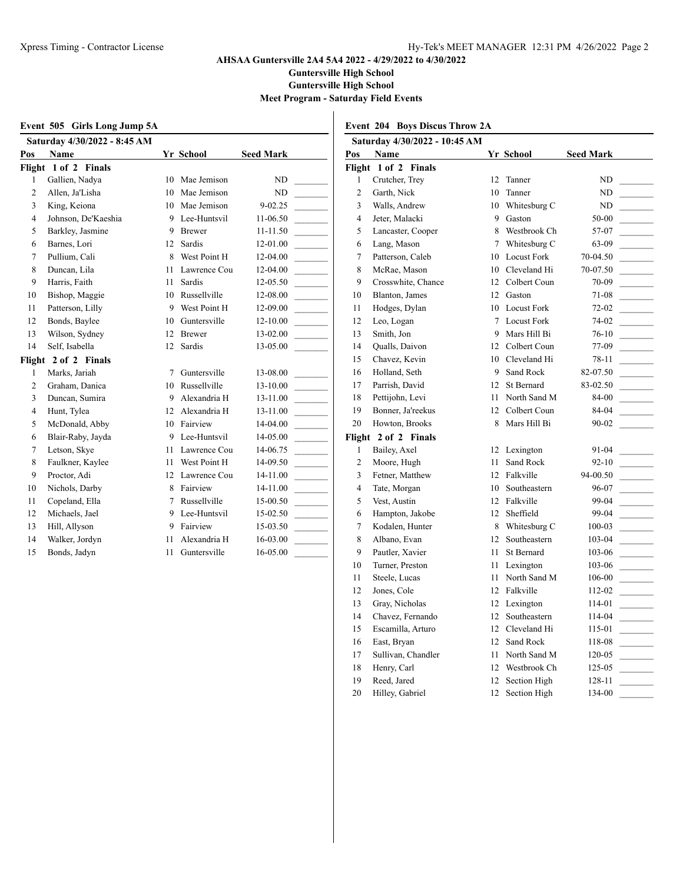**Guntersville High School**

 $\overline{1}$ 

**Guntersville High School**

**Meet Program - Saturday Field Events**

|                | Event 505 Girls Long Jump 5A |                 |                 |                  | Ev   |
|----------------|------------------------------|-----------------|-----------------|------------------|------|
|                | Saturday 4/30/2022 - 8:45 AM |                 |                 |                  |      |
| Pos            | Name                         |                 | Yr School       | <b>Seed Mark</b> | Pos  |
|                | Flight 1 of 2 Finals         |                 |                 |                  | Flig |
| 1              | Gallien, Nadya               |                 | 10 Mae Jemison  | N <sub>D</sub>   |      |
| 2              | Allen, Ja'Lisha              | 10              | Mae Jemison     | ND.              |      |
| 3              | King, Keiona                 | 10              | Mae Jemison     | 9-02.25          |      |
| $\overline{4}$ | Johnson, De'Kaeshia          |                 | 9 Lee-Huntsvil  | 11-06.50         |      |
| 5              | Barkley, Jasmine             | 9               | Brewer          | 11-11.50         |      |
| 6              | Barnes, Lori                 | 12 <sup>2</sup> | Sardis          | 12-01.00         |      |
| 7              | Pullium, Cali                |                 | 8 West Point H  | 12-04.00         |      |
| 8              | Duncan, Lila                 | 11              | Lawrence Cou    | 12-04.00         |      |
| 9              | Harris, Faith                | 11              | <b>Sardis</b>   | 12-05.50         |      |
| 10             | Bishop, Maggie               |                 | 10 Russellville | 12-08.00         |      |
| 11             | Patterson, Lilly             |                 | 9 West Point H  | 12-09.00         |      |
| 12             | Bonds, Baylee                | 10              | Guntersville    | 12-10.00         |      |
| 13             | Wilson, Sydney               | 12              | <b>Brewer</b>   | 13-02.00         |      |
| 14             | Self, Isabella               | $12^{\circ}$    | Sardis          | 13-05.00         |      |
|                | Flight 2 of 2 Finals         |                 |                 |                  |      |
| 1              | Marks, Jariah                | 7               | Guntersville    | 13-08.00         |      |
| 2              | Graham, Danica               | 10              | Russellville    | 13-10.00         |      |
| 3              | Duncan, Sumira               | 9               | Alexandria H    | 13-11.00         |      |
| 4              | Hunt, Tylea                  |                 | 12 Alexandria H | 13-11.00         |      |
| 5              | McDonald, Abby               |                 | 10 Fairview     | 14-04.00         |      |
| 6              | Blair-Raby, Jayda            |                 | 9 Lee-Huntsvil  | 14-05.00         | Flig |
| 7              | Letson, Skye                 | 11              | Lawrence Cou    | 14-06.75         |      |
| 8              | Faulkner, Kaylee             | 11              | West Point H    | 14-09.50         |      |
| 9              | Proctor, Adi                 |                 | 12 Lawrence Cou | 14-11.00         |      |
| 10             | Nichols, Darby               |                 | 8 Fairview      | 14-11.00         |      |
| 11             | Copeland, Ella               | $7^{\circ}$     | Russellville    | 15-00.50         |      |
| 12             | Michaels, Jael               | 9               | Lee-Huntsvil    | 15-02.50         |      |
| 13             | Hill, Allyson                | 9               | Fairview        | 15-03.50         |      |
| 14             | Walker, Jordyn               | 11              | Alexandria H    | 16-03.00         |      |
| 15             | Bonds, Jadyn                 | 11              | Guntersville    | 16-05.00         |      |

|  |  |  |  | <b>Event 204 Boys Discus Throw 2A</b> |  |
|--|--|--|--|---------------------------------------|--|
|--|--|--|--|---------------------------------------|--|

|                | Saturday 4/30/2022 - 10:45 AM |    |                    |                  |  |
|----------------|-------------------------------|----|--------------------|------------------|--|
| Pos            | <b>Name</b>                   |    | Yr School          | <b>Seed Mark</b> |  |
|                | Flight 1 of 2 Finals          |    |                    |                  |  |
| 1              | Crutcher, Trey                | 12 | Tanner             | ND               |  |
| $\overline{c}$ | Garth, Nick                   | 10 | Tanner             | ND               |  |
| 3              | Walls, Andrew                 | 10 | Whitesburg C       | ND               |  |
| 4              | Jeter, Malacki                | 9  | Gaston             | 50-00            |  |
| 5              | Lancaster, Cooper             | 8  | Westbrook Ch       | 57-07            |  |
| 6              | Lang, Mason                   | 7  | Whitesburg C       | 63-09            |  |
| 7              | Patterson, Caleb              | 10 | <b>Locust Fork</b> | 70-04.50         |  |
| 8              | McRae, Mason                  |    | 10 Cleveland Hi    | 70-07.50         |  |
| 9              | Crosswhite, Chance            | 12 | Colbert Coun       | 70-09            |  |
| 10             | Blanton, James                | 12 | Gaston             | 71-08            |  |
| 11             | Hodges, Dylan                 | 10 | <b>Locust Fork</b> | 72-02            |  |
| 12             | Leo, Logan                    | 7  | <b>Locust Fork</b> | 74-02            |  |
| 13             | Smith, Jon                    | 9  | Mars Hill Bi       | $76-10$          |  |
| 14             | Qualls, Daivon                | 12 | Colbert Coun       | 77-09            |  |
| 15             | Chavez, Kevin                 | 10 | Cleveland Hi       | 78-11            |  |
| 16             | Holland, Seth                 | 9  | Sand Rock          | 82-07.50         |  |
| 17             | Parrish, David                | 12 | St Bernard         | 83-02.50         |  |
| 18             | Pettijohn, Levi               | 11 | North Sand M       | 84-00            |  |
| 19             | Bonner, Ja'reekus             | 12 | Colbert Coun       | 84-04            |  |
| 20             | Howton, Brooks                | 8  | Mars Hill Bi       | $90 - 02$        |  |
| Flight         | 2 of 2 Finals                 |    |                    |                  |  |
| 1              | Bailey, Axel                  | 12 | Lexington          | 91-04            |  |
| $\overline{c}$ | Moore, Hugh                   | 11 | Sand Rock          | $92 - 10$        |  |
| 3              | Fetner, Matthew               | 12 | Falkville          | 94-00.50         |  |
| $\overline{4}$ | Tate, Morgan                  | 10 | Southeastern       | 96-07            |  |
| 5              | Vest, Austin                  | 12 | Falkville          | 99-04            |  |
| 6              | Hampton, Jakobe               | 12 | Sheffield          | 99-04            |  |
| 7              | Kodalen, Hunter               | 8  | Whitesburg C       | 100-03           |  |
| 8              | Albano, Evan                  | 12 | Southeastern       | 103-04           |  |
| 9              | Pautler, Xavier               | 11 | St Bernard         | 103-06           |  |
| 10             | Turner, Preston               | 11 | Lexington          | 103-06           |  |
| 11             | Steele, Lucas                 | 11 | North Sand M       | 106-00           |  |
| 12             | Jones, Cole                   | 12 | Falkville          | 112-02           |  |
| 13             | Gray, Nicholas                | 12 | Lexington          | 114-01           |  |
| 14             | Chavez, Fernando              | 12 | Southeastern       | 114-04           |  |
| 15             | Escamilla, Arturo             | 12 | Cleveland Hi       | 115-01           |  |
| 16             | East, Bryan                   | 12 | Sand Rock          | 118-08           |  |
| 17             | Sullivan, Chandler            | 11 | North Sand M       | 120-05           |  |
| 18             | Henry, Carl                   | 12 | Westbrook Ch       | 125-05           |  |
| 19             | Reed, Jared                   | 12 | Section High       | 128-11           |  |
| 20             | Hilley, Gabriel               | 12 | Section High       | 134-00           |  |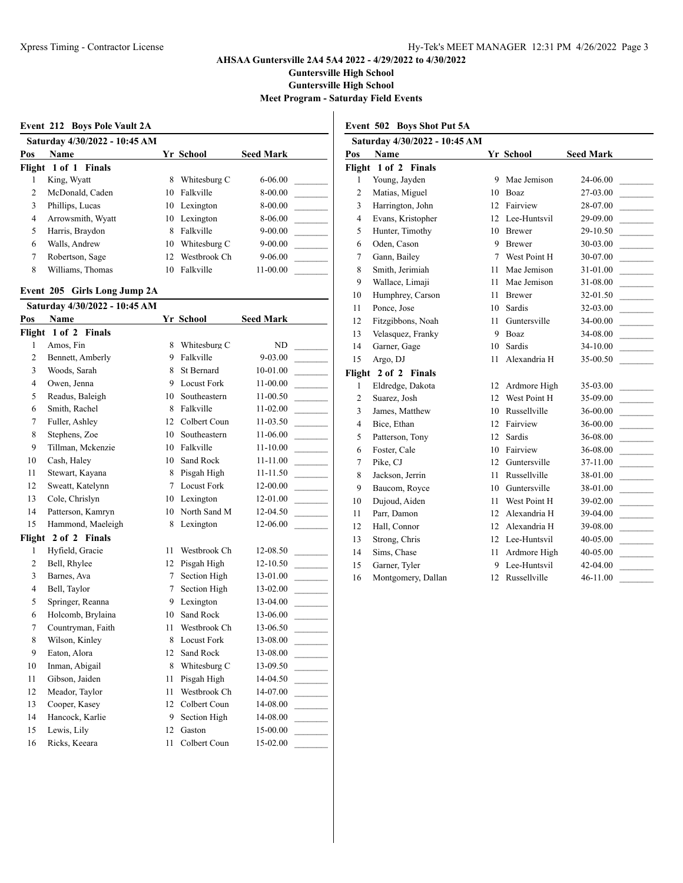**Guntersville High School**

**Guntersville High School**

**Meet Program - Saturday Field Events**

|     | Event 212 Boys Pole Vault 2A  |     |              |                  |  |
|-----|-------------------------------|-----|--------------|------------------|--|
|     | Saturday 4/30/2022 - 10:45 AM |     |              |                  |  |
| Pos | Name                          |     | Yr School    | <b>Seed Mark</b> |  |
|     | Flight 1 of 1 Finals          |     |              |                  |  |
|     | King, Wyatt                   | 8   | Whitesburg C | $6 - 06.00$      |  |
| 2   | McDonald, Caden               | 10. | Falkville    | 8-00.00          |  |
| 3   | Phillips, Lucas               |     | 10 Lexington | 8-00.00          |  |
| 4   | Arrowsmith, Wyatt             |     | 10 Lexington | 8-06.00          |  |
| 5   | Harris, Braydon               | 8   | Falkville    | $9 - 00.00$      |  |
| 6   | Walls, Andrew                 | 10  | Whitesburg C | $9 - 00.00$      |  |
| 7   | Robertson, Sage               | 12. | Westbrook Ch | $9 - 06.00$      |  |
| 8   | Williams, Thomas              | 10  | Falkville    | 11-00.00         |  |

### **Event 205 Girls Long Jump 2A**

|                | Saturday 4/30/2022 - 10:45 AM |    |                    |                  |
|----------------|-------------------------------|----|--------------------|------------------|
| Pos            | Name                          |    | Yr School          | <b>Seed Mark</b> |
| Flight         | 1 of 2 Finals                 |    |                    |                  |
| 1              | Amos, Fin                     | 8  | Whitesburg C       | ND               |
| $\overline{c}$ | Bennett, Amberly              | 9  | Falkville          | $9 - 03.00$      |
| $\overline{3}$ | Woods, Sarah                  | 8  | St Bernard         | 10-01.00         |
| $\overline{4}$ | Owen, Jenna                   | 9  | <b>Locust Fork</b> | 11-00.00         |
| 5              | Readus, Baleigh               | 10 | Southeastern       | 11-00.50         |
| 6              | Smith, Rachel                 | 8  | Falkville          | 11-02.00         |
| 7              | Fuller, Ashley                | 12 | Colbert Coun       | 11-03.50         |
| 8              | Stephens, Zoe                 | 10 | Southeastern       | 11-06.00         |
| 9              | Tillman, Mckenzie             | 10 | Falkville          | $11 - 10.00$     |
| 10             | Cash, Haley                   | 10 | Sand Rock          | 11-11.00         |
| 11             | Stewart, Kayana               | 8  | Pisgah High        | 11-11.50         |
| 12             | Sweatt, Katelynn              | 7  | <b>Locust Fork</b> | 12-00.00         |
| 13             | Cole, Chrislyn                | 10 | Lexington          | 12-01.00         |
| 14             | Patterson, Kamryn             | 10 | North Sand M       | 12-04.50         |
| 15             | Hammond, Maeleigh             | 8  | Lexington          | 12-06.00         |
| Flight         | 2 of 2 Finals                 |    |                    |                  |
| 1              | Hyfield, Gracie               | 11 | Westbrook Ch       | 12-08.50         |
| $\overline{c}$ | Bell, Rhylee                  | 12 | Pisgah High        | 12-10.50         |
| 3              | Barnes, Ava                   | 7  | Section High       | 13-01.00         |
| 4              | Bell, Taylor                  | 7  | Section High       | 13-02.00         |
| 5              | Springer, Reanna              | 9. | Lexington          | 13-04.00         |
| 6              | Holcomb, Brylaina             | 10 | Sand Rock          | 13-06.00         |
| $\tau$         | Countryman, Faith             | 11 | Westbrook Ch       | 13-06.50         |
| 8              | Wilson, Kinley                | 8  | <b>Locust Fork</b> | 13-08.00         |
| 9              | Eaton, Alora                  | 12 | Sand Rock          | 13-08.00         |
| 10             | Inman, Abigail                | 8  | Whitesburg C       | 13-09.50         |
| 11             | Gibson, Jaiden                | 11 | Pisgah High        | 14-04.50         |
| 12             | Meador, Taylor                | 11 | Westbrook Ch       | 14-07.00         |
| 13             | Cooper, Kasey                 | 12 | Colbert Coun       | 14-08.00         |
| 14             | Hancock, Karlie               | 9  | Section High       | 14-08.00         |
| 15             | Lewis, Lily                   | 12 | Gaston             | 15-00.00         |
| 16             | Ricks, Keeara                 | 11 | Colbert Coun       | 15-02.00         |
|                |                               |    |                    |                  |

# **Event 502 Boys Shot Put 5A**

| Saturday 4/30/2022 - 10:45 AM |                    |    |               |                  |  |  |
|-------------------------------|--------------------|----|---------------|------------------|--|--|
| Pos                           | Name               |    | Yr School     | <b>Seed Mark</b> |  |  |
| Flight                        | 1 of 2 Finals      |    |               |                  |  |  |
| 1                             | Young, Jayden      | 9  | Mae Jemison   | 24-06.00         |  |  |
| $\overline{c}$                | Matias, Miguel     | 10 | <b>Boaz</b>   | 27-03.00         |  |  |
| 3                             | Harrington, John   | 12 | Fairview      | 28-07.00         |  |  |
| $\overline{4}$                | Evans, Kristopher  | 12 | Lee-Huntsvil  | 29-09.00         |  |  |
| 5                             | Hunter, Timothy    | 10 | <b>Brewer</b> | 29-10.50         |  |  |
| 6                             | Oden, Cason        | 9  | <b>Brewer</b> | 30-03.00         |  |  |
| $\overline{7}$                | Gann, Bailey       | 7  | West Point H  | 30-07.00         |  |  |
| 8                             | Smith, Jerimiah    | 11 | Mae Jemison   | 31-01.00         |  |  |
| 9                             | Wallace, Limaji    | 11 | Mae Jemison   | 31-08.00         |  |  |
| 10                            | Humphrey, Carson   | 11 | <b>Brewer</b> | 32-01.50         |  |  |
| 11                            | Ponce, Jose        | 10 | Sardis        | 32-03.00         |  |  |
| 12                            | Fitzgibbons, Noah  | 11 | Guntersville  | 34-00.00         |  |  |
| 13                            | Velasquez, Franky  | 9  | <b>Boaz</b>   | 34-08.00         |  |  |
| 14                            | Garner, Gage       | 10 | Sardis        | 34-10.00         |  |  |
| 15                            | Argo, DJ           | 11 | Alexandria H  | 35-00.50         |  |  |
| Flight                        | 2 of 2 Finals      |    |               |                  |  |  |
| 1                             | Eldredge, Dakota   | 12 | Ardmore High  | 35-03.00         |  |  |
| $\overline{c}$                | Suarez, Josh       | 12 | West Point H  | 35-09.00         |  |  |
| 3                             | James, Matthew     | 10 | Russellville  | 36-00.00         |  |  |
| $\overline{4}$                | Bice, Ethan        | 12 | Fairview      | 36-00.00         |  |  |
| 5                             | Patterson, Tony    | 12 | Sardis        | 36-08.00         |  |  |
| 6                             | Foster, Cale       | 10 | Fairview      | 36-08.00         |  |  |
| 7                             | Pike, CJ           | 12 | Guntersville  | 37-11.00         |  |  |
| 8                             | Jackson, Jerrin    | 11 | Russellville  | 38-01.00         |  |  |
| 9                             | Baucom, Royce      | 10 | Guntersville  | 38-01.00         |  |  |
| 10                            | Dujoud, Aiden      | 11 | West Point H  | 39-02.00         |  |  |
| 11                            | Parr, Damon        | 12 | Alexandria H  | 39-04.00         |  |  |
| 12                            | Hall, Connor       | 12 | Alexandria H  | 39-08.00         |  |  |
| 13                            | Strong, Chris      | 12 | Lee-Huntsvil  | 40-05.00         |  |  |
| 14                            | Sims, Chase        | 11 | Ardmore High  | 40-05.00         |  |  |
| 15                            | Garner, Tyler      | 9  | Lee-Huntsvil  | 42-04.00         |  |  |
| 16                            | Montgomery, Dallan | 12 | Russellville  | 46-11.00         |  |  |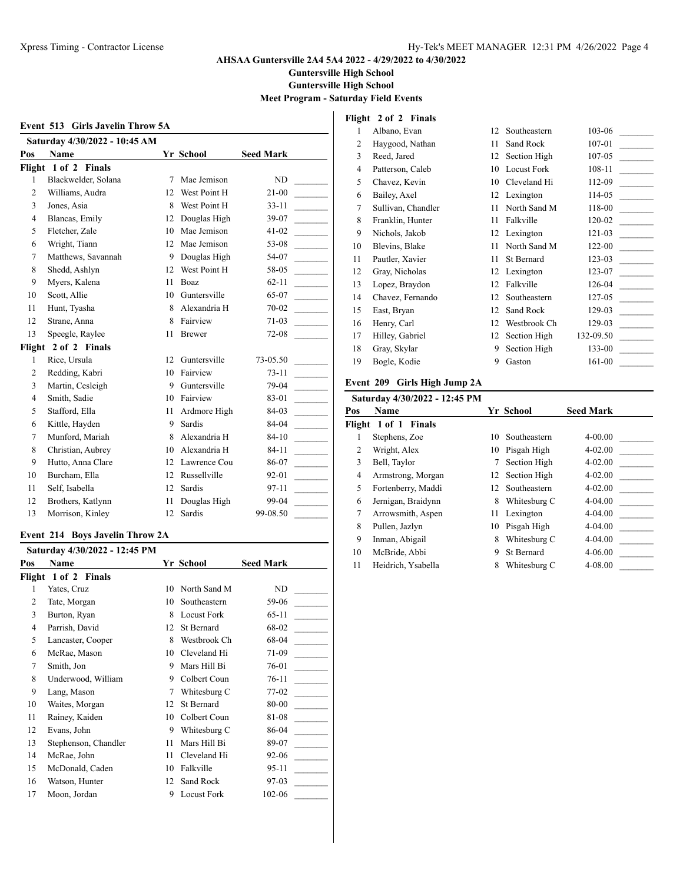**Guntersville High School**

**Guntersville High School**

**Meet Program - Saturday Field Events**

|                | Event 513 Girls Javelin Throw 5A |    |               |                  |
|----------------|----------------------------------|----|---------------|------------------|
|                | Saturday 4/30/2022 - 10:45 AM    |    |               |                  |
| Pos            | Name                             |    | Yr School     | <b>Seed Mark</b> |
|                | Flight 1 of 2 Finals             |    |               |                  |
| $\mathbf{1}$   | Blackwelder, Solana              | 7  | Mae Jemison   | <b>ND</b>        |
| $\overline{c}$ | Williams, Audra                  | 12 | West Point H  | $21 - 00$        |
| 3              | Jones, Asia                      | 8  | West Point H  | $33 - 11$        |
| $\overline{4}$ | Blancas, Emily                   | 12 | Douglas High  | 39-07            |
| 5              | Fletcher, Zale                   | 10 | Mae Jemison   | $41 - 02$        |
| 6              | Wright, Tiann                    | 12 | Mae Jemison   | 53-08            |
| 7              | Matthews, Savannah               | 9  | Douglas High  | 54-07            |
| 8              | Shedd, Ashlyn                    | 12 | West Point H  | 58-05            |
| 9              | Myers, Kalena                    | 11 | Boaz          | $62 - 11$        |
| 10             | Scott, Allie                     | 10 | Guntersville  | 65-07            |
| 11             | Hunt, Tyasha                     | 8  | Alexandria H  | $70 - 02$        |
| 12             | Strane, Anna                     | 8  | Fairview      | 71-03            |
| 13             | Speegle, Raylee                  | 11 | <b>Brewer</b> | $72 - 08$        |
| Flight         | 2 of 2 Finals                    |    |               |                  |
| $\mathbf{1}$   | Rice, Ursula                     | 12 | Guntersville  | 73-05.50         |
| $\overline{c}$ | Redding, Kabri                   | 10 | Fairview      | $73 - 11$        |
| 3              | Martin, Cesleigh                 | 9  | Guntersville  | 79-04            |
| $\overline{4}$ | Smith, Sadie                     | 10 | Fairview      | 83-01            |
| 5              | Stafford, Ella                   | 11 | Ardmore High  | 84-03            |
| 6              | Kittle, Hayden                   | 9  | Sardis        | 84-04            |
| 7              | Munford, Mariah                  | 8  | Alexandria H  | $84 - 10$        |
| 8              | Christian, Aubrey                | 10 | Alexandria H  | $84 - 11$        |
| 9              | Hutto, Anna Clare                | 12 | Lawrence Cou  | 86-07            |
| 10             | Burcham, Ella                    | 12 | Russellville  | 92-01            |
| 11             | Self, Isabella                   | 12 | Sardis        | 97-11            |
| 12             | Brothers, Katlynn                | 11 | Douglas High  | 99-04            |
| 13             | Morrison, Kinley                 | 12 | Sardis        | 99-08.50         |

### **Event 214 Boys Javelin Throw 2A**

|        | Saturday 4/30/2022 - 12:45 PM |    |                    |                  |
|--------|-------------------------------|----|--------------------|------------------|
| Pos    | <b>Name</b>                   |    | Yr School          | <b>Seed Mark</b> |
| Flight | 1 of 2 Finals                 |    |                    |                  |
| 1      | Yates, Cruz                   | 10 | North Sand M       | ND               |
| 2      | Tate, Morgan                  | 10 | Southeastern       | 59-06            |
| 3      | Burton, Ryan                  | 8  | <b>Locust Fork</b> | 65-11            |
| 4      | Parrish, David                | 12 | St Bernard         | 68-02            |
| 5      | Lancaster, Cooper             | 8  | Westbrook Ch       | 68-04            |
| 6      | McRae, Mason                  | 10 | Cleveland Hi       | 71-09            |
| 7      | Smith, Jon                    | 9  | Mars Hill Bi       | 76-01            |
| 8      | Underwood, William            | 9  | Colbert Coun       | $76-11$          |
| 9      | Lang, Mason                   | 7  | Whitesburg C       | 77-02            |
| 10     | Waites, Morgan                | 12 | St Bernard         | 80-00            |
| 11     | Rainey, Kaiden                | 10 | Colbert Coun       | 81-08            |
| 12     | Evans, John                   | 9  | Whitesburg C       | 86-04            |
| 13     | Stephenson, Chandler          | 11 | Mars Hill Bi       | 89-07            |
| 14     | McRae, John                   | 11 | Cleveland Hi       | 92-06            |
| 15     | McDonald, Caden               | 10 | Falkville          | 95-11            |
| 16     | Watson, Hunter                | 12 | Sand Rock          | $97-03$          |
| 17     | Moon, Jordan                  | 9  | <b>Locust Fork</b> | 102-06           |

# **Flight 2 of 2 Finals**

| 1              | Albano, Evan       | 12 | Southeastern       | 103-06    |
|----------------|--------------------|----|--------------------|-----------|
| 2              | Haygood, Nathan    | 11 | Sand Rock          | 107-01    |
| 3              | Reed, Jared        | 12 | Section High       | 107-05    |
| $\overline{4}$ | Patterson, Caleb   | 10 | <b>Locust Fork</b> | 108-11    |
| 5              | Chavez, Kevin      | 10 | Cleveland Hi       | 112-09    |
| 6              | Bailey, Axel       | 12 | Lexington          | 114-05    |
| 7              | Sullivan, Chandler | 11 | North Sand M       | 118-00    |
| 8              | Franklin, Hunter   | 11 | Falkville          | 120-02    |
| 9              | Nichols, Jakob     | 12 | Lexington          | 121-03    |
| 10             | Blevins, Blake     | 11 | North Sand M       | 122-00    |
| 11             | Pautler, Xavier    | 11 | St Bernard         | 123-03    |
| 12             | Gray, Nicholas     | 12 | Lexington          | 123-07    |
| 13             | Lopez, Braydon     | 12 | Falkville          | 126-04    |
| 14             | Chavez, Fernando   | 12 | Southeastern       | 127-05    |
| 15             | East, Bryan        | 12 | Sand Rock          | 129-03    |
| 16             | Henry, Carl        | 12 | Westbrook Ch       | 129-03    |
| 17             | Hilley, Gabriel    | 12 | Section High       | 132-09.50 |
| 18             | Gray, Skylar       | 9  | Section High       | 133-00    |
| 19             | Bogle, Kodie       | 9  | Gaston             | 161-00    |
|                |                    |    |                    |           |

# **Event 209 Girls High Jump 2A**

|     | Saturday 4/30/2022 - 12:45 PM |    |                   |                  |
|-----|-------------------------------|----|-------------------|------------------|
| Pos | Name                          |    | Yr School         | <b>Seed Mark</b> |
|     | Flight 1 of 1 Finals          |    |                   |                  |
|     | Stephens, Zoe                 | 10 | Southeastern      | $4 - 00.00$      |
| 2   | Wright, Alex                  | 10 | Pisgah High       | $4 - 02.00$      |
| 3   | Bell, Taylor                  | 7  | Section High      | $4 - 02.00$      |
| 4   | Armstrong, Morgan             |    | 12 Section High   | $4 - 02.00$      |
| 5   | Fortenberry, Maddi            | 12 | Southeastern      | $4 - 02.00$      |
| 6   | Jernigan, Braidynn            | 8  | Whitesburg C      | 4-04.00          |
| 7   | Arrowsmith, Aspen             | 11 | Lexington         | 4-04.00          |
| 8   | Pullen, Jazlyn                | 10 | Pisgah High       | 4-04.00          |
| 9   | Inman, Abigail                | 8  | Whitesburg C      | 4-04.00          |
| 10  | McBride, Abbi                 | 9  | <b>St Bernard</b> | 4-06.00          |
| 11  | Heidrich, Ysabella            | 8  | Whitesburg C      | 4-08.00          |